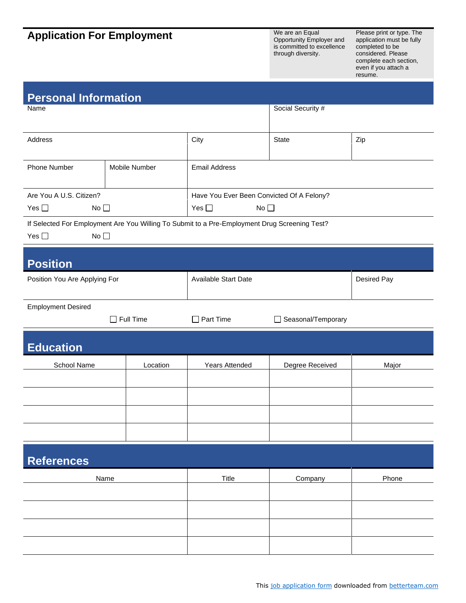## **Application For Employment** We are an Equal Deportunity Employment

Opportunity Employer and is committed to excellence through diversity.

Please print or type. The application must be fully completed to be considered. Please complete each section, even if you attach a resume.

| <b>Personal Information</b>      |                  |                                                                                               |                    |             |
|----------------------------------|------------------|-----------------------------------------------------------------------------------------------|--------------------|-------------|
| Name                             |                  |                                                                                               | Social Security #  |             |
|                                  |                  |                                                                                               |                    |             |
| Address                          |                  | City                                                                                          | <b>State</b>       | Zip         |
| Phone Number                     | Mobile Number    | <b>Email Address</b>                                                                          |                    |             |
|                                  |                  |                                                                                               |                    |             |
| Are You A U.S. Citizen?          |                  | Have You Ever Been Convicted Of A Felony?                                                     |                    |             |
| Yes $\Box$<br>No <sub>1</sub>    |                  | Yes $\square$<br>No $\square$                                                                 |                    |             |
|                                  |                  | If Selected For Employment Are You Willing To Submit to a Pre-Employment Drug Screening Test? |                    |             |
| Yes $\square$<br>No <sub>1</sub> |                  |                                                                                               |                    |             |
| <b>Position</b>                  |                  |                                                                                               |                    |             |
| Position You Are Applying For    |                  | <b>Available Start Date</b>                                                                   |                    | Desired Pay |
|                                  |                  |                                                                                               |                    |             |
| <b>Employment Desired</b>        |                  |                                                                                               |                    |             |
|                                  | $\Box$ Full Time | $\Box$ Part Time                                                                              | Seasonal/Temporary |             |
| <b>Education</b>                 |                  |                                                                                               |                    |             |
| School Name                      | Location         | Years Attended                                                                                | Degree Received    | Major       |
|                                  |                  |                                                                                               |                    |             |
|                                  |                  |                                                                                               |                    |             |
|                                  |                  |                                                                                               |                    |             |
|                                  |                  |                                                                                               |                    |             |
|                                  |                  |                                                                                               |                    |             |
| <b>References</b>                |                  |                                                                                               |                    |             |
| Name                             |                  | <b>Title</b>                                                                                  | Company            | Phone       |
|                                  |                  |                                                                                               |                    |             |
|                                  |                  |                                                                                               |                    |             |
|                                  |                  |                                                                                               |                    |             |
|                                  |                  |                                                                                               |                    |             |